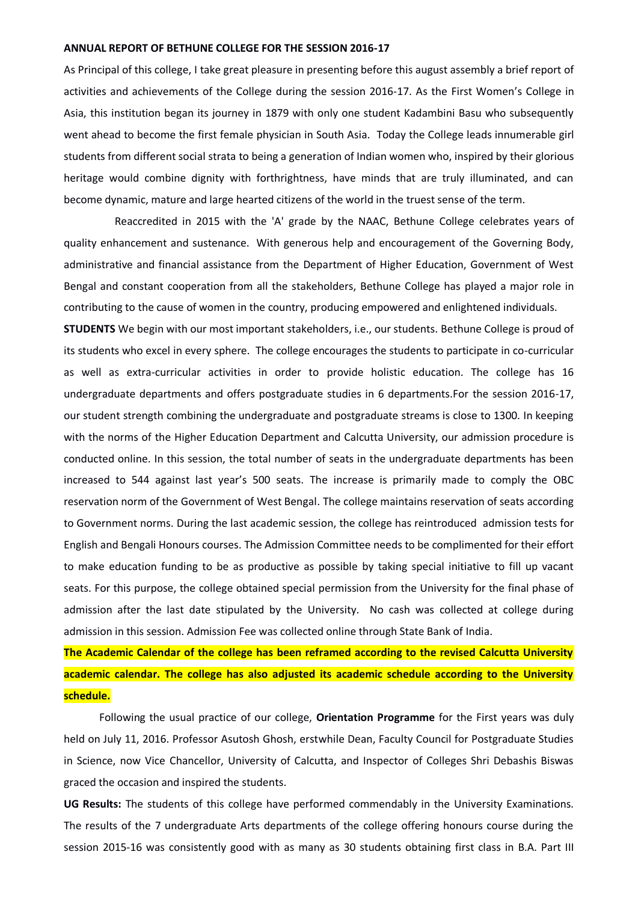#### **ANNUAL REPORT OF BETHUNE COLLEGE FOR THE SESSION 2016-17**

As Principal of this college, I take great pleasure in presenting before this august assembly a brief report of activities and achievements of the College during the session 2016-17. As the First Women's College in Asia, this institution began its journey in 1879 with only one student Kadambini Basu who subsequently went ahead to become the first female physician in South Asia. Today the College leads innumerable girl students from different social strata to being a generation of Indian women who, inspired by their glorious heritage would combine dignity with forthrightness, have minds that are truly illuminated, and can become dynamic, mature and large hearted citizens of the world in the truest sense of the term.

Reaccredited in 2015 with the 'A' grade by the NAAC, Bethune College celebrates years of quality enhancement and sustenance. With generous help and encouragement of the Governing Body, administrative and financial assistance from the Department of Higher Education, Government of West Bengal and constant cooperation from all the stakeholders, Bethune College has played a major role in contributing to the cause of women in the country, producing empowered and enlightened individuals.

**STUDENTS** We begin with our most important stakeholders, i.e., our students. Bethune College is proud of its students who excel in every sphere. The college encourages the students to participate in co-curricular as well as extra-curricular activities in order to provide holistic education. The college has 16 undergraduate departments and offers postgraduate studies in 6 departments.For the session 2016-17, our student strength combining the undergraduate and postgraduate streams is close to 1300. In keeping with the norms of the Higher Education Department and Calcutta University, our admission procedure is conducted online. In this session, the total number of seats in the undergraduate departments has been increased to 544 against last year's 500 seats. The increase is primarily made to comply the OBC reservation norm of the Government of West Bengal. The college maintains reservation of seats according to Government norms. During the last academic session, the college has reintroduced admission tests for English and Bengali Honours courses. The Admission Committee needs to be complimented for their effort to make education funding to be as productive as possible by taking special initiative to fill up vacant seats. For this purpose, the college obtained special permission from the University for the final phase of admission after the last date stipulated by the University. No cash was collected at college during admission in this session. Admission Fee was collected online through State Bank of India.

**The Academic Calendar of the college has been reframed according to the revised Calcutta University academic calendar. The college has also adjusted its academic schedule according to the University schedule.** 

Following the usual practice of our college, **Orientation Programme** for the First years was duly held on July 11, 2016. Professor Asutosh Ghosh, erstwhile Dean, Faculty Council for Postgraduate Studies in Science, now Vice Chancellor, University of Calcutta, and Inspector of Colleges Shri Debashis Biswas graced the occasion and inspired the students.

**UG Results:** The students of this college have performed commendably in the University Examinations. The results of the 7 undergraduate Arts departments of the college offering honours course during the session 2015-16 was consistently good with as many as 30 students obtaining first class in B.A. Part III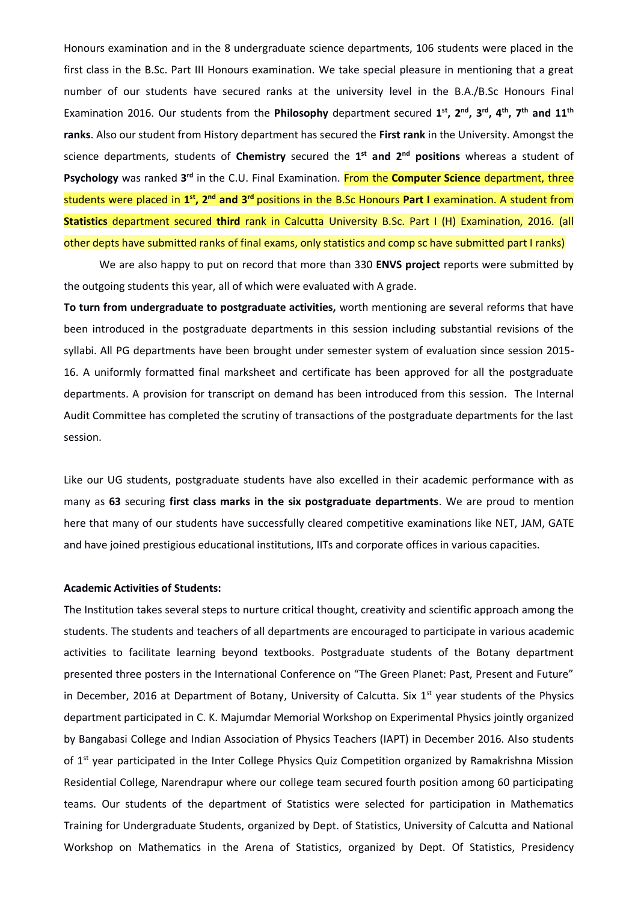Honours examination and in the 8 undergraduate science departments, 106 students were placed in the first class in the B.Sc. Part III Honours examination. We take special pleasure in mentioning that a great number of our students have secured ranks at the university level in the B.A./B.Sc Honours Final Examination 2016. Our students from the **Philosophy** department secured **1 st, 2nd, 3rd, 4th, 7th and 11th ranks**. Also our student from History department has secured the **First rank** in the University. Amongst the science departments, students of **Chemistry** secured the **1 st and 2nd positions** whereas a student of Psychology was ranked 3<sup>rd</sup> in the C.U. Final Examination. From the Computer Science department, three students were placed in **1 st, 2nd and 3rd** positions in the B.Sc Honours **Part I** examination. A student from **Statistics** department secured **third** rank in Calcutta University B.Sc. Part I (H) Examination, 2016. (all other depts have submitted ranks of final exams, only statistics and comp sc have submitted part I ranks)

We are also happy to put on record that more than 330 **ENVS project** reports were submitted by the outgoing students this year, all of which were evaluated with A grade.

**To turn from undergraduate to postgraduate activities,** worth mentioning are **s**everal reforms that have been introduced in the postgraduate departments in this session including substantial revisions of the syllabi. All PG departments have been brought under semester system of evaluation since session 2015- 16. A uniformly formatted final marksheet and certificate has been approved for all the postgraduate departments. A provision for transcript on demand has been introduced from this session. The Internal Audit Committee has completed the scrutiny of transactions of the postgraduate departments for the last session.

Like our UG students, postgraduate students have also excelled in their academic performance with as many as **63** securing **first class marks in the six postgraduate departments**. We are proud to mention here that many of our students have successfully cleared competitive examinations like NET, JAM, GATE and have joined prestigious educational institutions, IITs and corporate offices in various capacities.

#### **Academic Activities of Students:**

The Institution takes several steps to nurture critical thought, creativity and scientific approach among the students. The students and teachers of all departments are encouraged to participate in various academic activities to facilitate learning beyond textbooks. Postgraduate students of the Botany department presented three posters in the International Conference on "The Green Planet: Past, Present and Future" in December, 2016 at Department of Botany, University of Calcutta. Six  $1<sup>st</sup>$  year students of the Physics department participated in C. K. Majumdar Memorial Workshop on Experimental Physics jointly organized by Bangabasi College and Indian Association of Physics Teachers (IAPT) in December 2016. Also students of 1<sup>st</sup> year participated in the Inter College Physics Quiz Competition organized by Ramakrishna Mission Residential College, Narendrapur where our college team secured fourth position among 60 participating teams. Our students of the department of Statistics were selected for participation in Mathematics Training for Undergraduate Students, organized by Dept. of Statistics, University of Calcutta and National Workshop on Mathematics in the Arena of Statistics, organized by Dept. Of Statistics, Presidency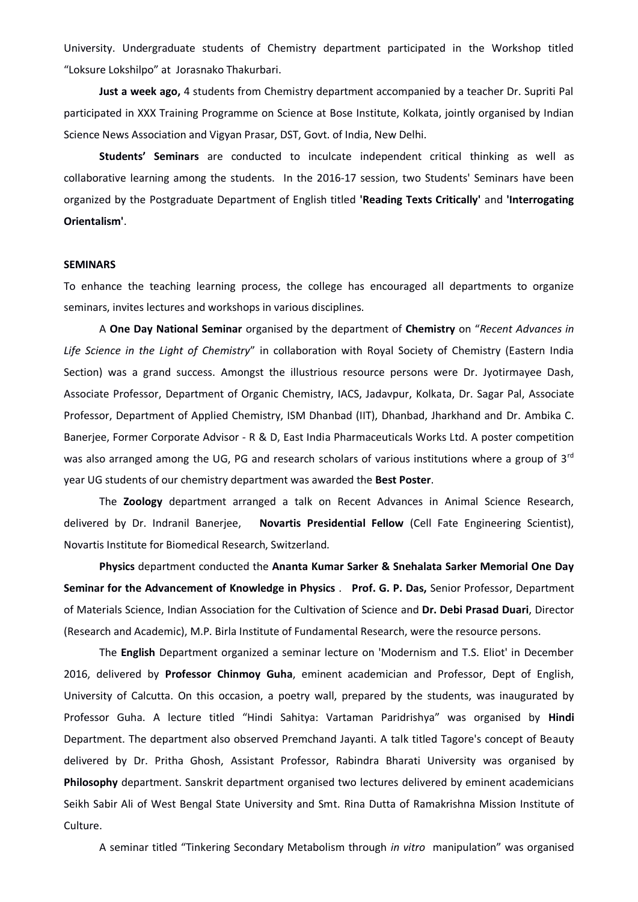University. Undergraduate students of Chemistry department participated in the Workshop titled "Loksure Lokshilpo" at Jorasnako Thakurbari.

**Just a week ago,** 4 students from Chemistry department accompanied by a teacher Dr. Supriti Pal participated in XXX Training Programme on Science at Bose Institute, Kolkata, jointly organised by Indian Science News Association and Vigyan Prasar, DST, Govt. of India, New Delhi.

**Students' Seminars** are conducted to inculcate independent critical thinking as well as collaborative learning among the students. In the 2016-17 session, two Students' Seminars have been organized by the Postgraduate Department of English titled **'Reading Texts Critically'** and **'Interrogating Orientalism'**.

## **SEMINARS**

To enhance the teaching learning process, the college has encouraged all departments to organize seminars, invites lectures and workshops in various disciplines.

A **One Day National Seminar** organised by the department of **Chemistry** on "*Recent Advances in Life Science in the Light of Chemistry*" in collaboration with Royal Society of Chemistry (Eastern India Section) was a grand success. Amongst the illustrious resource persons were Dr. Jyotirmayee Dash, Associate Professor, Department of Organic Chemistry, IACS, Jadavpur, Kolkata, Dr. Sagar Pal, Associate Professor, Department of Applied Chemistry, ISM Dhanbad (IIT), Dhanbad, Jharkhand and Dr. Ambika C. Banerjee, Former Corporate Advisor - R & D, East India Pharmaceuticals Works Ltd. A poster competition was also arranged among the UG, PG and research scholars of various institutions where a group of 3rd year UG students of our chemistry department was awarded the **Best Poster**.

The **Zoology** department arranged a talk on Recent Advances in Animal Science Research, delivered by Dr. Indranil Banerjee, **Novartis Presidential Fellow** (Cell Fate Engineering Scientist), Novartis Institute for Biomedical Research, Switzerland.

**Physics** department conducted the **Ananta Kumar Sarker & Snehalata Sarker Memorial One Day Seminar for the Advancement of Knowledge in Physics** . **Prof. G. P. Das,** Senior Professor, Department of Materials Science, Indian Association for the Cultivation of Science and **Dr. Debi Prasad Duari**, Director (Research and Academic), M.P. Birla Institute of Fundamental Research, were the resource persons.

The **English** Department organized a seminar lecture on 'Modernism and T.S. Eliot' in December 2016, delivered by **Professor Chinmoy Guha**, eminent academician and Professor, Dept of English, University of Calcutta. On this occasion, a poetry wall, prepared by the students, was inaugurated by Professor Guha. A lecture titled "Hindi Sahitya: Vartaman Paridrishya" was organised by **Hindi**  Department. The department also observed Premchand Jayanti. A talk titled Tagore's concept of Beauty delivered by Dr. Pritha Ghosh, Assistant Professor, Rabindra Bharati University was organised by **Philosophy** department. Sanskrit department organised two lectures delivered by eminent academicians Seikh Sabir Ali of West Bengal State University and Smt. Rina Dutta of Ramakrishna Mission Institute of Culture.

A seminar titled "Tinkering Secondary Metabolism through *in vitro* manipulation" was organised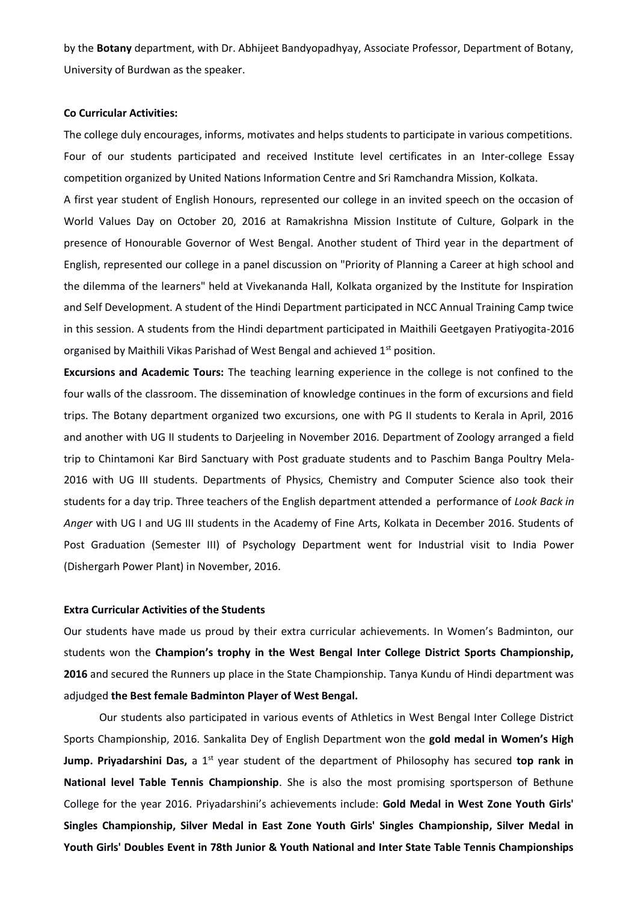by the **Botany** department, with Dr. Abhijeet Bandyopadhyay, Associate Professor, Department of Botany, University of Burdwan as the speaker.

## **Co Curricular Activities:**

The college duly encourages, informs, motivates and helps students to participate in various competitions. Four of our students participated and received Institute level certificates in an Inter-college Essay competition organized by United Nations Information Centre and Sri Ramchandra Mission, Kolkata.

A first year student of English Honours, represented our college in an invited speech on the occasion of World Values Day on October 20, 2016 at Ramakrishna Mission Institute of Culture, Golpark in the presence of Honourable Governor of West Bengal. Another student of Third year in the department of English, represented our college in a panel discussion on "Priority of Planning a Career at high school and the dilemma of the learners" held at Vivekananda Hall, Kolkata organized by the Institute for Inspiration and Self Development. A student of the Hindi Department participated in NCC Annual Training Camp twice in this session. A students from the Hindi department participated in Maithili Geetgayen Pratiyogita-2016 organised by Maithili Vikas Parishad of West Bengal and achieved 1<sup>st</sup> position.

**Excursions and Academic Tours:** The teaching learning experience in the college is not confined to the four walls of the classroom. The dissemination of knowledge continues in the form of excursions and field trips. The Botany department organized two excursions, one with PG II students to Kerala in April, 2016 and another with UG II students to Darjeeling in November 2016. Department of Zoology arranged a field trip to Chintamoni Kar Bird Sanctuary with Post graduate students and to Paschim Banga Poultry Mela-2016 with UG III students. Departments of Physics, Chemistry and Computer Science also took their students for a day trip. Three teachers of the English department attended a performance of *Look Back in Anger* with UG I and UG III students in the Academy of Fine Arts, Kolkata in December 2016. Students of Post Graduation (Semester III) of Psychology Department went for Industrial visit to India Power (Dishergarh Power Plant) in November, 2016.

## **Extra Curricular Activities of the Students**

Our students have made us proud by their extra curricular achievements. In Women's Badminton, our students won the **Champion's trophy in the West Bengal Inter College District Sports Championship, 2016** and secured the Runners up place in the State Championship. Tanya Kundu of Hindi department was adjudged **the Best female Badminton Player of West Bengal.** 

Our students also participated in various events of Athletics in West Bengal Inter College District Sports Championship, 2016. Sankalita Dey of English Department won the **gold medal in Women's High Jump. Priyadarshini Das,** a 1<sup>st</sup> year student of the department of Philosophy has secured **top rank in National level Table Tennis Championship**. She is also the most promising sportsperson of Bethune College for the year 2016. Priyadarshini's achievements include: **Gold Medal in West Zone Youth Girls' Singles Championship, Silver Medal in East Zone Youth Girls' Singles Championship, Silver Medal in Youth Girls' Doubles Event in 78th Junior & Youth National and Inter State Table Tennis Championships**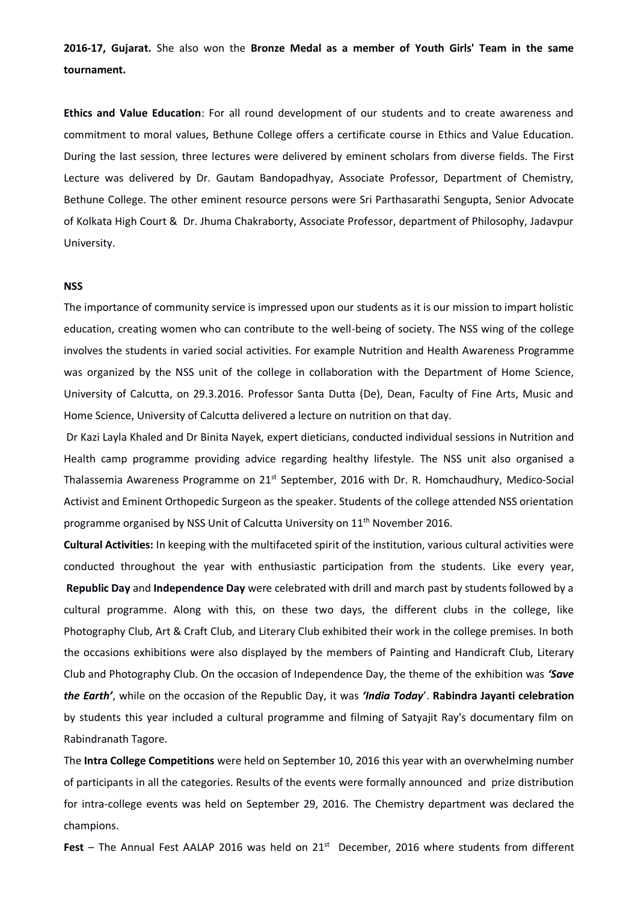**2016-17, Gujarat.** She also won the **Bronze Medal as a member of Youth Girls' Team in the same tournament.**

**Ethics and Value Education**: For all round development of our students and to create awareness and commitment to moral values, Bethune College offers a certificate course in Ethics and Value Education. During the last session, three lectures were delivered by eminent scholars from diverse fields. The First Lecture was delivered by Dr. Gautam Bandopadhyay, Associate Professor, Department of Chemistry, Bethune College. The other eminent resource persons were Sri Parthasarathi Sengupta, Senior Advocate of Kolkata High Court & Dr. Jhuma Chakraborty, Associate Professor, department of Philosophy, Jadavpur University.

#### **NSS**

The importance of community service is impressed upon our students as it is our mission to impart holistic education, creating women who can contribute to the well-being of society. The NSS wing of the college involves the students in varied social activities. For example Nutrition and Health Awareness Programme was organized by the NSS unit of the college in collaboration with the Department of Home Science, University of Calcutta, on 29.3.2016. Professor Santa Dutta (De), Dean, Faculty of Fine Arts, Music and Home Science, University of Calcutta delivered a lecture on nutrition on that day.

Dr Kazi Layla Khaled and Dr Binita Nayek, expert dieticians, conducted individual sessions in Nutrition and Health camp programme providing advice regarding healthy lifestyle. The NSS unit also organised a Thalassemia Awareness Programme on  $21^{st}$  September, 2016 with Dr. R. Homchaudhury, Medico-Social Activist and Eminent Orthopedic Surgeon as the speaker. Students of the college attended NSS orientation programme organised by NSS Unit of Calcutta University on 11<sup>th</sup> November 2016.

**Cultural Activities:** In keeping with the multifaceted spirit of the institution, various cultural activities were conducted throughout the year with enthusiastic participation from the students. Like every year, **Republic Day** and **Independence Day** were celebrated with drill and march past by students followed by a cultural programme. Along with this, on these two days, the different clubs in the college, like Photography Club, Art & Craft Club, and Literary Club exhibited their work in the college premises. In both the occasions exhibitions were also displayed by the members of Painting and Handicraft Club, Literary Club and Photography Club. On the occasion of Independence Day, the theme of the exhibition was *'Save the Earth'*, while on the occasion of the Republic Day, it was *'India Today*'. **Rabindra Jayanti celebration** by students this year included a cultural programme and filming of Satyajit Ray's documentary film on Rabindranath Tagore.

The **Intra College Competitions** were held on September 10, 2016 this year with an overwhelming number of participants in all the categories. Results of the events were formally announced and prize distribution for intra-college events was held on September 29, 2016. The Chemistry department was declared the champions.

Fest - The Annual Fest AALAP 2016 was held on 21<sup>st</sup> December, 2016 where students from different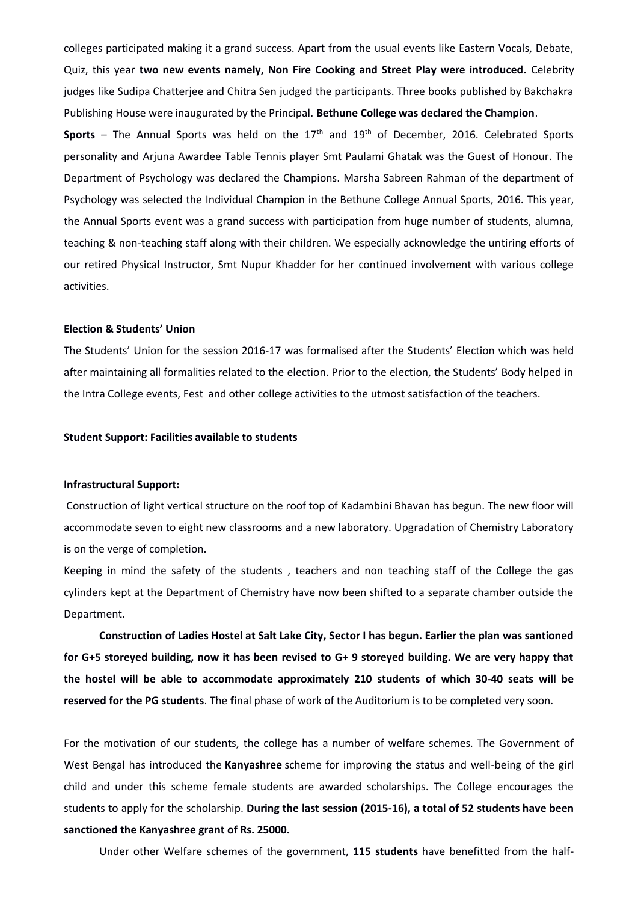colleges participated making it a grand success. Apart from the usual events like Eastern Vocals, Debate, Quiz, this year **two new events namely, Non Fire Cooking and Street Play were introduced.** Celebrity judges like Sudipa Chatterjee and Chitra Sen judged the participants. Three books published by Bakchakra Publishing House were inaugurated by the Principal. **Bethune College was declared the Champion**. Sports – The Annual Sports was held on the 17<sup>th</sup> and 19<sup>th</sup> of December, 2016. Celebrated Sports personality and Arjuna Awardee Table Tennis player Smt Paulami Ghatak was the Guest of Honour. The Department of Psychology was declared the Champions. Marsha Sabreen Rahman of the department of Psychology was selected the Individual Champion in the Bethune College Annual Sports, 2016. This year, the Annual Sports event was a grand success with participation from huge number of students, alumna, teaching & non-teaching staff along with their children. We especially acknowledge the untiring efforts of our retired Physical Instructor, Smt Nupur Khadder for her continued involvement with various college activities.

#### **Election & Students' Union**

The Students' Union for the session 2016-17 was formalised after the Students' Election which was held after maintaining all formalities related to the election. Prior to the election, the Students' Body helped in the Intra College events, Fest and other college activities to the utmost satisfaction of the teachers.

## **Student Support: Facilities available to students**

#### **Infrastructural Support:**

Construction of light vertical structure on the roof top of Kadambini Bhavan has begun. The new floor will accommodate seven to eight new classrooms and a new laboratory. Upgradation of Chemistry Laboratory is on the verge of completion.

Keeping in mind the safety of the students , teachers and non teaching staff of the College the gas cylinders kept at the Department of Chemistry have now been shifted to a separate chamber outside the Department.

**Construction of Ladies Hostel at Salt Lake City, Sector I has begun. Earlier the plan was santioned for G+5 storeyed building, now it has been revised to G+ 9 storeyed building. We are very happy that the hostel will be able to accommodate approximately 210 students of which 30-40 seats will be reserved for the PG students**. The **f**inal phase of work of the Auditorium is to be completed very soon.

For the motivation of our students, the college has a number of welfare schemes. The Government of West Bengal has introduced the **Kanyashree** scheme for improving the status and well-being of the girl child and under this scheme female students are awarded scholarships. The College encourages the students to apply for the scholarship. **During the last session (2015-16), a total of 52 students have been sanctioned the Kanyashree grant of Rs. 25000.**

Under other Welfare schemes of the government, **115 students** have benefitted from the half-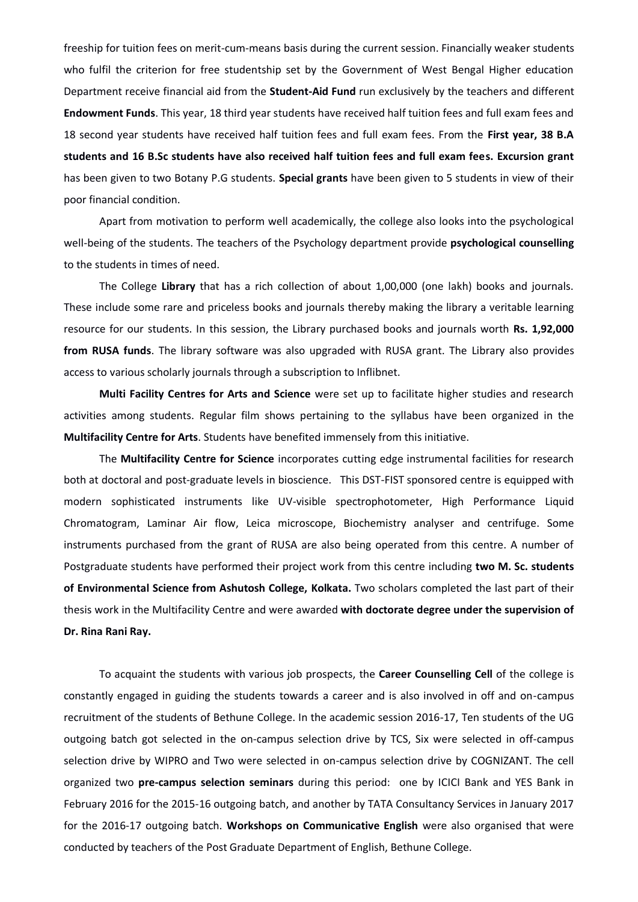freeship for tuition fees on merit-cum-means basis during the current session. Financially weaker students who fulfil the criterion for free studentship set by the Government of West Bengal Higher education Department receive financial aid from the **Student-Aid Fund** run exclusively by the teachers and different **Endowment Funds**. This year, 18 third year students have received half tuition fees and full exam fees and 18 second year students have received half tuition fees and full exam fees. From the **First year, 38 B.A students and 16 B.Sc students have also received half tuition fees and full exam fees. Excursion grant** has been given to two Botany P.G students. **Special grants** have been given to 5 students in view of their poor financial condition.

Apart from motivation to perform well academically, the college also looks into the psychological well-being of the students. The teachers of the Psychology department provide **psychological counselling** to the students in times of need.

The College **Library** that has a rich collection of about 1,00,000 (one lakh) books and journals. These include some rare and priceless books and journals thereby making the library a veritable learning resource for our students. In this session, the Library purchased books and journals worth **Rs. 1,92,000 from RUSA funds**. The library software was also upgraded with RUSA grant. The Library also provides access to various scholarly journals through a subscription to Inflibnet.

**Multi Facility Centres for Arts and Science** were set up to facilitate higher studies and research activities among students. Regular film shows pertaining to the syllabus have been organized in the **Multifacility Centre for Arts**. Students have benefited immensely from this initiative.

The **Multifacility Centre for Science** incorporates cutting edge instrumental facilities for research both at doctoral and post-graduate levels in bioscience. This DST-FIST sponsored centre is equipped with modern sophisticated instruments like UV-visible spectrophotometer, High Performance Liquid Chromatogram, Laminar Air flow, Leica microscope, Biochemistry analyser and centrifuge. Some instruments purchased from the grant of RUSA are also being operated from this centre. A number of Postgraduate students have performed their project work from this centre including **two M. Sc. students of Environmental Science from Ashutosh College, Kolkata.** Two scholars completed the last part of their thesis work in the Multifacility Centre and were awarded **with doctorate degree under the supervision of Dr. Rina Rani Ray.**

To acquaint the students with various job prospects, the **Career Counselling Cell** of the college is constantly engaged in guiding the students towards a career and is also involved in off and on-campus recruitment of the students of Bethune College. In the academic session 2016-17, Ten students of the UG outgoing batch got selected in the on-campus selection drive by TCS, Six were selected in off-campus selection drive by WIPRO and Two were selected in on-campus selection drive by COGNIZANT. The cell organized two **pre-campus selection seminars** during this period: one by ICICI Bank and YES Bank in February 2016 for the 2015-16 outgoing batch, and another by TATA Consultancy Services in January 2017 for the 2016-17 outgoing batch. **Workshops on Communicative English** were also organised that were conducted by teachers of the Post Graduate Department of English, Bethune College.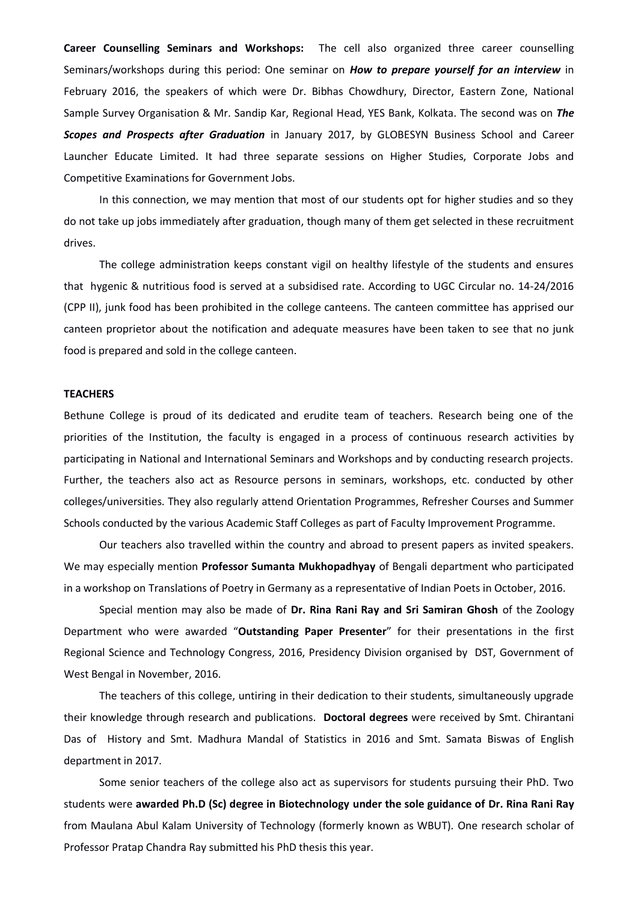**Career Counselling Seminars and Workshops:** The cell also organized three career counselling Seminars/workshops during this period: One seminar on *How to prepare yourself for an interview* in February 2016, the speakers of which were Dr. Bibhas Chowdhury, Director, Eastern Zone, National Sample Survey Organisation & Mr. Sandip Kar, Regional Head, YES Bank, Kolkata. The second was on *The Scopes and Prospects after Graduation* in January 2017, by GLOBESYN Business School and Career Launcher Educate Limited. It had three separate sessions on Higher Studies, Corporate Jobs and Competitive Examinations for Government Jobs.

In this connection, we may mention that most of our students opt for higher studies and so they do not take up jobs immediately after graduation, though many of them get selected in these recruitment drives.

The college administration keeps constant vigil on healthy lifestyle of the students and ensures that hygenic & nutritious food is served at a subsidised rate. According to UGC Circular no. 14-24/2016 (CPP II), junk food has been prohibited in the college canteens. The canteen committee has apprised our canteen proprietor about the notification and adequate measures have been taken to see that no junk food is prepared and sold in the college canteen.

#### **TEACHERS**

Bethune College is proud of its dedicated and erudite team of teachers. Research being one of the priorities of the Institution, the faculty is engaged in a process of continuous research activities by participating in National and International Seminars and Workshops and by conducting research projects. Further, the teachers also act as Resource persons in seminars, workshops, etc. conducted by other colleges/universities. They also regularly attend Orientation Programmes, Refresher Courses and Summer Schools conducted by the various Academic Staff Colleges as part of Faculty Improvement Programme.

Our teachers also travelled within the country and abroad to present papers as invited speakers. We may especially mention **Professor Sumanta Mukhopadhyay** of Bengali department who participated in a workshop on Translations of Poetry in Germany as a representative of Indian Poets in October, 2016.

Special mention may also be made of **Dr. Rina Rani Ray and Sri Samiran Ghosh** of the Zoology Department who were awarded "**Outstanding Paper Presenter**" for their presentations in the first Regional Science and Technology Congress, 2016, Presidency Division organised by DST, Government of West Bengal in November, 2016.

The teachers of this college, untiring in their dedication to their students, simultaneously upgrade their knowledge through research and publications. **Doctoral degrees** were received by Smt. Chirantani Das of History and Smt. Madhura Mandal of Statistics in 2016 and Smt. Samata Biswas of English department in 2017.

Some senior teachers of the college also act as supervisors for students pursuing their PhD. Two students were **awarded Ph.D (Sc) degree in Biotechnology under the sole guidance of Dr. Rina Rani Ray** from Maulana Abul Kalam University of Technology (formerly known as WBUT). One research scholar of Professor Pratap Chandra Ray submitted his PhD thesis this year.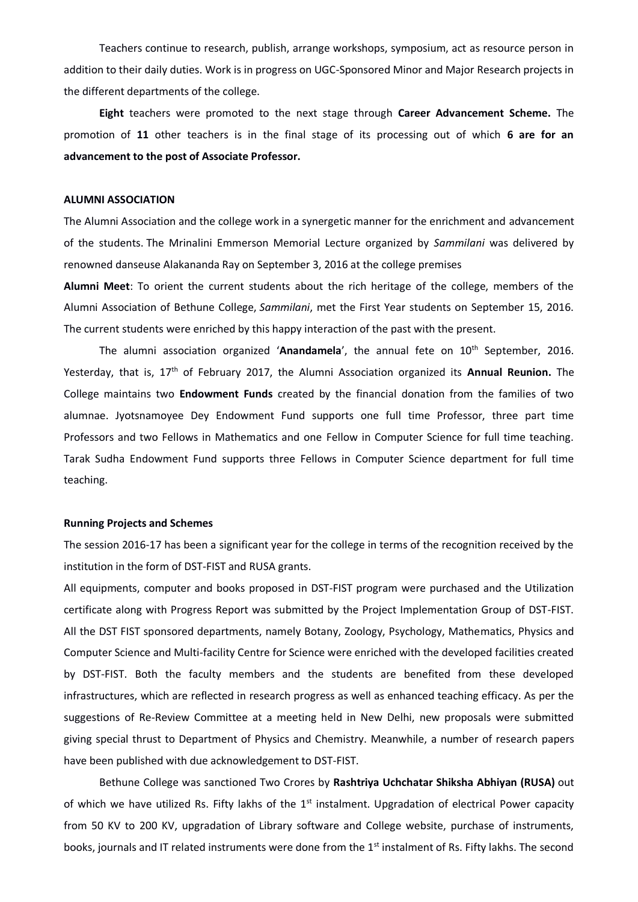Teachers continue to research, publish, arrange workshops, symposium, act as resource person in addition to their daily duties. Work is in progress on UGC-Sponsored Minor and Major Research projects in the different departments of the college.

**Eight** teachers were promoted to the next stage through **Career Advancement Scheme.** The promotion of **11** other teachers is in the final stage of its processing out of which **6 are for an advancement to the post of Associate Professor.**

#### **ALUMNI ASSOCIATION**

The Alumni Association and the college work in a synergetic manner for the enrichment and advancement of the students. The Mrinalini Emmerson Memorial Lecture organized by *Sammilani* was delivered by renowned danseuse Alakananda Ray on September 3, 2016 at the college premises

**Alumni Meet**: To orient the current students about the rich heritage of the college, members of the Alumni Association of Bethune College, *Sammilani*, met the First Year students on September 15, 2016. The current students were enriched by this happy interaction of the past with the present.

The alumni association organized 'Anandamela', the annual fete on 10<sup>th</sup> September, 2016. Yesterday, that is, 17th of February 2017, the Alumni Association organized its **Annual Reunion.** The College maintains two **Endowment Funds** created by the financial donation from the families of two alumnae. Jyotsnamoyee Dey Endowment Fund supports one full time Professor, three part time Professors and two Fellows in Mathematics and one Fellow in Computer Science for full time teaching. Tarak Sudha Endowment Fund supports three Fellows in Computer Science department for full time teaching.

## **Running Projects and Schemes**

The session 2016-17 has been a significant year for the college in terms of the recognition received by the institution in the form of DST-FIST and RUSA grants.

All equipments, computer and books proposed in DST-FIST program were purchased and the Utilization certificate along with Progress Report was submitted by the Project Implementation Group of DST-FIST. All the DST FIST sponsored departments, namely Botany, Zoology, Psychology, Mathematics, Physics and Computer Science and Multi-facility Centre for Science were enriched with the developed facilities created by DST-FIST. Both the faculty members and the students are benefited from these developed infrastructures, which are reflected in research progress as well as enhanced teaching efficacy. As per the suggestions of Re-Review Committee at a meeting held in New Delhi, new proposals were submitted giving special thrust to Department of Physics and Chemistry. Meanwhile, a number of research papers have been published with due acknowledgement to DST-FIST.

Bethune College was sanctioned Two Crores by **Rashtriya Uchchatar Shiksha Abhiyan (RUSA)** out of which we have utilized Rs. Fifty lakhs of the  $1<sup>st</sup>$  instalment. Upgradation of electrical Power capacity from 50 KV to 200 KV, upgradation of Library software and College website, purchase of instruments, books, journals and IT related instruments were done from the 1<sup>st</sup> instalment of Rs. Fifty lakhs. The second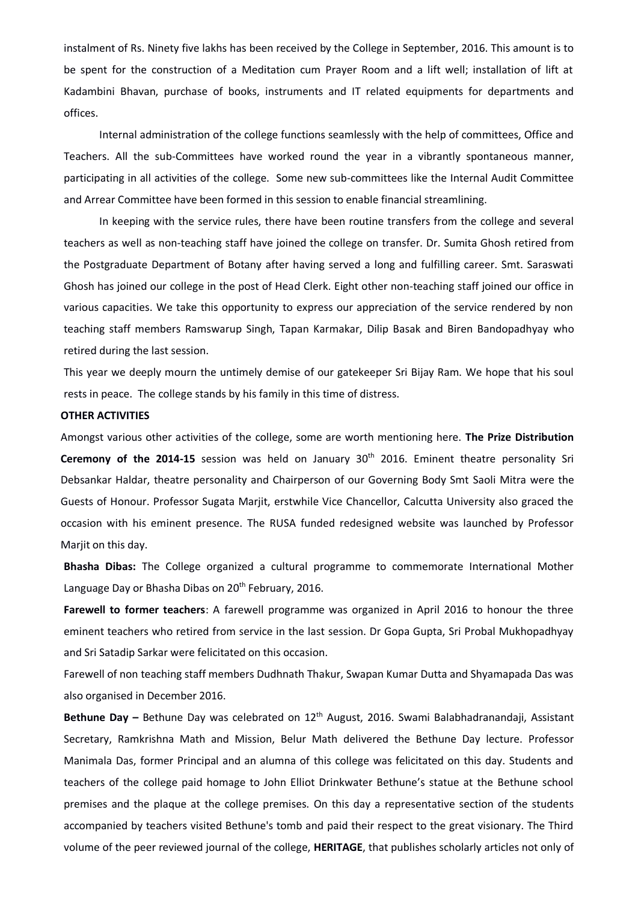instalment of Rs. Ninety five lakhs has been received by the College in September, 2016. This amount is to be spent for the construction of a Meditation cum Prayer Room and a lift well; installation of lift at Kadambini Bhavan, purchase of books, instruments and IT related equipments for departments and offices.

Internal administration of the college functions seamlessly with the help of committees, Office and Teachers. All the sub-Committees have worked round the year in a vibrantly spontaneous manner, participating in all activities of the college. Some new sub-committees like the Internal Audit Committee and Arrear Committee have been formed in this session to enable financial streamlining.

In keeping with the service rules, there have been routine transfers from the college and several teachers as well as non-teaching staff have joined the college on transfer. Dr. Sumita Ghosh retired from the Postgraduate Department of Botany after having served a long and fulfilling career. Smt. Saraswati Ghosh has joined our college in the post of Head Clerk. Eight other non-teaching staff joined our office in various capacities. We take this opportunity to express our appreciation of the service rendered by non teaching staff members Ramswarup Singh, Tapan Karmakar, Dilip Basak and Biren Bandopadhyay who retired during the last session.

This year we deeply mourn the untimely demise of our gatekeeper Sri Bijay Ram. We hope that his soul rests in peace. The college stands by his family in this time of distress.

## **OTHER ACTIVITIES**

Amongst various other activities of the college, some are worth mentioning here. **The Prize Distribution**  Ceremony of the 2014-15 session was held on January 30<sup>th</sup> 2016. Eminent theatre personality Sri Debsankar Haldar, theatre personality and Chairperson of our Governing Body Smt Saoli Mitra were the Guests of Honour. Professor Sugata Marjit, erstwhile Vice Chancellor, Calcutta University also graced the occasion with his eminent presence. The RUSA funded redesigned website was launched by Professor Marjit on this day.

**Bhasha Dibas:** The College organized a cultural programme to commemorate International Mother Language Day or Bhasha Dibas on 20<sup>th</sup> February, 2016.

**Farewell to former teachers**: A farewell programme was organized in April 2016 to honour the three eminent teachers who retired from service in the last session. Dr Gopa Gupta, Sri Probal Mukhopadhyay and Sri Satadip Sarkar were felicitated on this occasion.

Farewell of non teaching staff members Dudhnath Thakur, Swapan Kumar Dutta and Shyamapada Das was also organised in December 2016.

**Bethune Day –** Bethune Day was celebrated on 12<sup>th</sup> August, 2016. Swami Balabhadranandaji, Assistant Secretary, Ramkrishna Math and Mission, Belur Math delivered the Bethune Day lecture. Professor Manimala Das, former Principal and an alumna of this college was felicitated on this day. Students and teachers of the college paid homage to John Elliot Drinkwater Bethune's statue at the Bethune school premises and the plaque at the college premises. On this day a representative section of the students accompanied by teachers visited Bethune's tomb and paid their respect to the great visionary. The Third volume of the peer reviewed journal of the college, **HERITAGE**, that publishes scholarly articles not only of